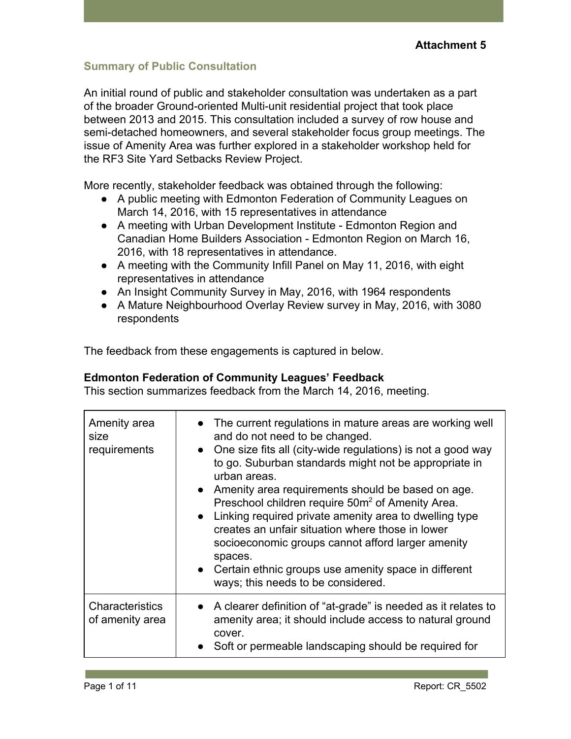#### **Summary of Public Consultation**

An initial round of public and stakeholder consultation was undertaken as a part of the broader Ground-oriented Multi-unit residential project that took place between 2013 and 2015. This consultation included a survey of row house and semi-detached homeowners, and several stakeholder focus group meetings. The issue of Amenity Area was further explored in a stakeholder workshop held for the RF3 Site Yard Setbacks Review Project.

More recently, stakeholder feedback was obtained through the following:

- A public meeting with Edmonton Federation of Community Leagues on March 14, 2016, with 15 representatives in attendance
- A meeting with Urban Development Institute Edmonton Region and Canadian Home Builders Association - Edmonton Region on March 16, 2016, with 18 representatives in attendance.
- A meeting with the Community Infill Panel on May 11, 2016, with eight representatives in attendance
- An Insight Community Survey in May, 2016, with 1964 respondents
- A Mature Neighbourhood Overlay Review survey in May, 2016, with 3080 respondents

The feedback from these engagements is captured in below.

#### **Edmonton Federation of Community Leagues' Feedback**

This section summarizes feedback from the March 14, 2016, meeting.

| Amenity area<br>size<br>requirements | • The current regulations in mature areas are working well<br>and do not need to be changed.<br>• One size fits all (city-wide regulations) is not a good way<br>to go. Suburban standards might not be appropriate in<br>urban areas.<br>• Amenity area requirements should be based on age.<br>Preschool children require 50m <sup>2</sup> of Amenity Area.<br>• Linking required private amenity area to dwelling type<br>creates an unfair situation where those in lower<br>socioeconomic groups cannot afford larger amenity<br>spaces.<br>• Certain ethnic groups use amenity space in different<br>ways; this needs to be considered. |
|--------------------------------------|-----------------------------------------------------------------------------------------------------------------------------------------------------------------------------------------------------------------------------------------------------------------------------------------------------------------------------------------------------------------------------------------------------------------------------------------------------------------------------------------------------------------------------------------------------------------------------------------------------------------------------------------------|
| Characteristics<br>of amenity area   | • A clearer definition of "at-grade" is needed as it relates to<br>amenity area; it should include access to natural ground<br>cover.<br>Soft or permeable landscaping should be required for                                                                                                                                                                                                                                                                                                                                                                                                                                                 |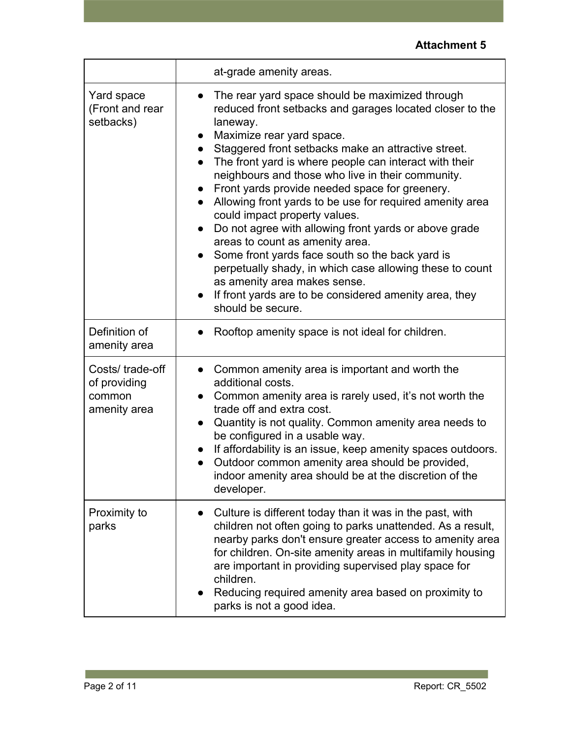|                                                           | at-grade amenity areas.                                                                                                                                                                                                                                                                                                                                                                                                                                                                                                                                                                                                                                                                                                                                                                                                                                 |
|-----------------------------------------------------------|---------------------------------------------------------------------------------------------------------------------------------------------------------------------------------------------------------------------------------------------------------------------------------------------------------------------------------------------------------------------------------------------------------------------------------------------------------------------------------------------------------------------------------------------------------------------------------------------------------------------------------------------------------------------------------------------------------------------------------------------------------------------------------------------------------------------------------------------------------|
| Yard space<br>(Front and rear<br>setbacks)                | The rear yard space should be maximized through<br>$\bullet$<br>reduced front setbacks and garages located closer to the<br>laneway.<br>Maximize rear yard space.<br>Staggered front setbacks make an attractive street.<br>The front yard is where people can interact with their<br>neighbours and those who live in their community.<br>Front yards provide needed space for greenery.<br>Allowing front yards to be use for required amenity area<br>$\bullet$<br>could impact property values.<br>Do not agree with allowing front yards or above grade<br>$\bullet$<br>areas to count as amenity area.<br>Some front yards face south so the back yard is<br>$\bullet$<br>perpetually shady, in which case allowing these to count<br>as amenity area makes sense.<br>If front yards are to be considered amenity area, they<br>should be secure. |
| Definition of<br>amenity area                             | Rooftop amenity space is not ideal for children.                                                                                                                                                                                                                                                                                                                                                                                                                                                                                                                                                                                                                                                                                                                                                                                                        |
| Costs/trade-off<br>of providing<br>common<br>amenity area | Common amenity area is important and worth the<br>additional costs.<br>Common amenity area is rarely used, it's not worth the<br>trade off and extra cost.<br>Quantity is not quality. Common amenity area needs to<br>be configured in a usable way.<br>If affordability is an issue, keep amenity spaces outdoors.<br>Outdoor common amenity area should be provided,<br>$\bullet$<br>indoor amenity area should be at the discretion of the<br>developer.                                                                                                                                                                                                                                                                                                                                                                                            |
| Proximity to<br>parks                                     | Culture is different today than it was in the past, with<br>children not often going to parks unattended. As a result,<br>nearby parks don't ensure greater access to amenity area<br>for children. On-site amenity areas in multifamily housing<br>are important in providing supervised play space for<br>children.<br>Reducing required amenity area based on proximity to<br>parks is not a good idea.                                                                                                                                                                                                                                                                                                                                                                                                                                              |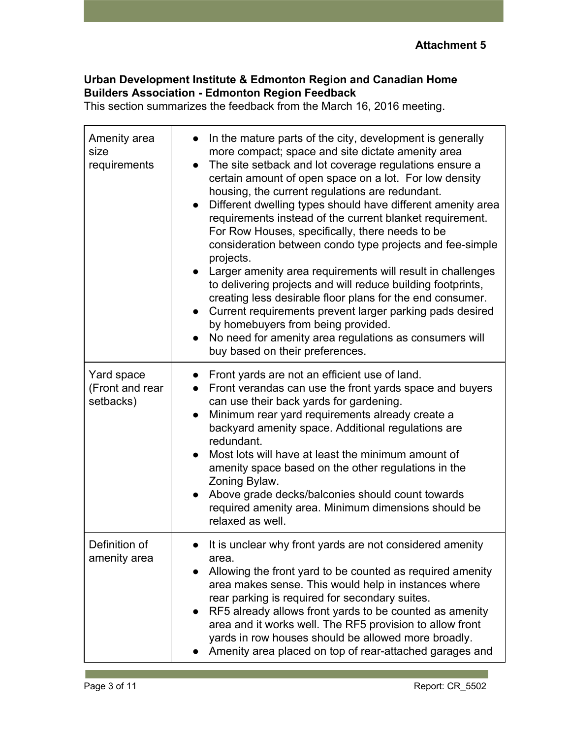#### **Urban Development Institute & Edmonton Region and Canadian Home Builders Association - Edmonton Region Feedback**

This section summarizes the feedback from the March 16, 2016 meeting.

| Amenity area<br>size<br>requirements       | In the mature parts of the city, development is generally<br>more compact; space and site dictate amenity area<br>The site setback and lot coverage regulations ensure a<br>$\bullet$<br>certain amount of open space on a lot. For low density<br>housing, the current regulations are redundant.<br>Different dwelling types should have different amenity area<br>$\bullet$<br>requirements instead of the current blanket requirement.<br>For Row Houses, specifically, there needs to be<br>consideration between condo type projects and fee-simple<br>projects.<br>Larger amenity area requirements will result in challenges<br>$\bullet$<br>to delivering projects and will reduce building footprints,<br>creating less desirable floor plans for the end consumer.<br>Current requirements prevent larger parking pads desired<br>$\bullet$<br>by homebuyers from being provided.<br>No need for amenity area regulations as consumers will<br>$\bullet$<br>buy based on their preferences. |
|--------------------------------------------|--------------------------------------------------------------------------------------------------------------------------------------------------------------------------------------------------------------------------------------------------------------------------------------------------------------------------------------------------------------------------------------------------------------------------------------------------------------------------------------------------------------------------------------------------------------------------------------------------------------------------------------------------------------------------------------------------------------------------------------------------------------------------------------------------------------------------------------------------------------------------------------------------------------------------------------------------------------------------------------------------------|
| Yard space<br>(Front and rear<br>setbacks) | Front yards are not an efficient use of land.<br>Front verandas can use the front yards space and buyers<br>$\bullet$<br>can use their back yards for gardening.<br>Minimum rear yard requirements already create a<br>$\bullet$<br>backyard amenity space. Additional regulations are<br>redundant.<br>Most lots will have at least the minimum amount of<br>amenity space based on the other regulations in the<br>Zoning Bylaw.<br>Above grade decks/balconies should count towards<br>$\bullet$<br>required amenity area. Minimum dimensions should be<br>relaxed as well.                                                                                                                                                                                                                                                                                                                                                                                                                         |
| Definition of<br>amenity area              | • It is unclear why front yards are not considered amenity<br>area.<br>Allowing the front yard to be counted as required amenity<br>area makes sense. This would help in instances where<br>rear parking is required for secondary suites.<br>RF5 already allows front yards to be counted as amenity<br>area and it works well. The RF5 provision to allow front<br>yards in row houses should be allowed more broadly.<br>Amenity area placed on top of rear-attached garages and                                                                                                                                                                                                                                                                                                                                                                                                                                                                                                                    |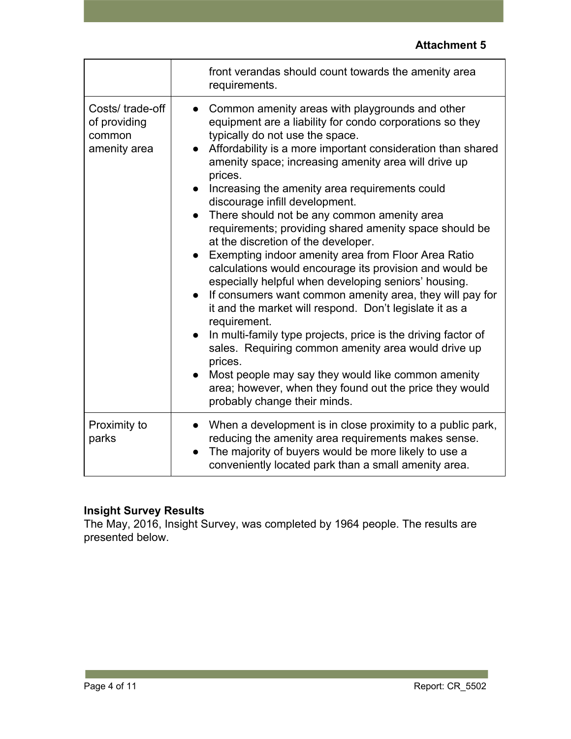|                                                           | front verandas should count towards the amenity area<br>requirements.                                                                                                                                                                                                                                                                                                                                                                                                                                                                                                                                                                                                                                                                                                                                                                                                                                                                                                                                                                                                                                                                                            |
|-----------------------------------------------------------|------------------------------------------------------------------------------------------------------------------------------------------------------------------------------------------------------------------------------------------------------------------------------------------------------------------------------------------------------------------------------------------------------------------------------------------------------------------------------------------------------------------------------------------------------------------------------------------------------------------------------------------------------------------------------------------------------------------------------------------------------------------------------------------------------------------------------------------------------------------------------------------------------------------------------------------------------------------------------------------------------------------------------------------------------------------------------------------------------------------------------------------------------------------|
| Costs/trade-off<br>of providing<br>common<br>amenity area | Common amenity areas with playgrounds and other<br>$\bullet$<br>equipment are a liability for condo corporations so they<br>typically do not use the space.<br>Affordability is a more important consideration than shared<br>amenity space; increasing amenity area will drive up<br>prices.<br>Increasing the amenity area requirements could<br>discourage infill development.<br>There should not be any common amenity area<br>requirements; providing shared amenity space should be<br>at the discretion of the developer.<br>Exempting indoor amenity area from Floor Area Ratio<br>calculations would encourage its provision and would be<br>especially helpful when developing seniors' housing.<br>If consumers want common amenity area, they will pay for<br>$\bullet$<br>it and the market will respond. Don't legislate it as a<br>requirement.<br>In multi-family type projects, price is the driving factor of<br>$\bullet$<br>sales. Requiring common amenity area would drive up<br>prices.<br>Most people may say they would like common amenity<br>area; however, when they found out the price they would<br>probably change their minds. |
| Proximity to<br>parks                                     | When a development is in close proximity to a public park,<br>reducing the amenity area requirements makes sense.<br>The majority of buyers would be more likely to use a<br>conveniently located park than a small amenity area.                                                                                                                                                                                                                                                                                                                                                                                                                                                                                                                                                                                                                                                                                                                                                                                                                                                                                                                                |

## **Insight Survey Results**

The May, 2016, Insight Survey, was completed by 1964 people. The results are presented below.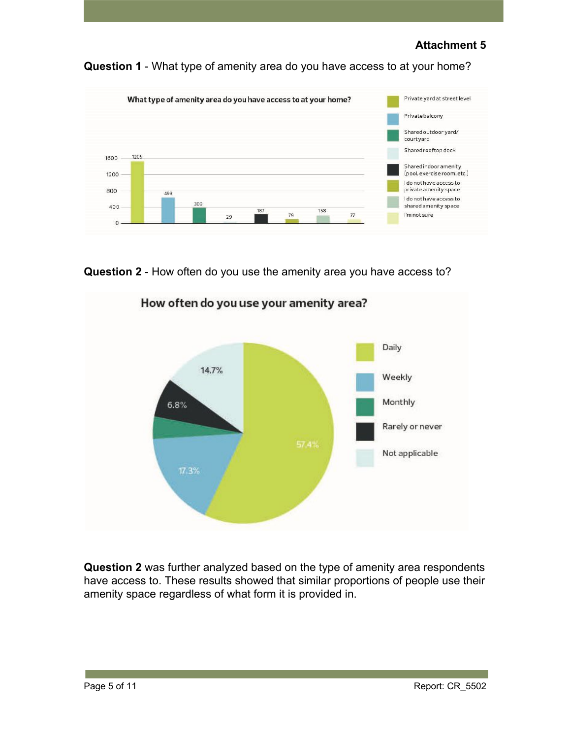**Question 1** - What type of amenity area do you have access to at your home?



**Question 2** - How often do you use the amenity area you have access to?



How often do you use your amenity area?

**Question 2** was further analyzed based on the type of amenity area respondents have access to. These results showed that similar proportions of people use their amenity space regardless of what form it is provided in.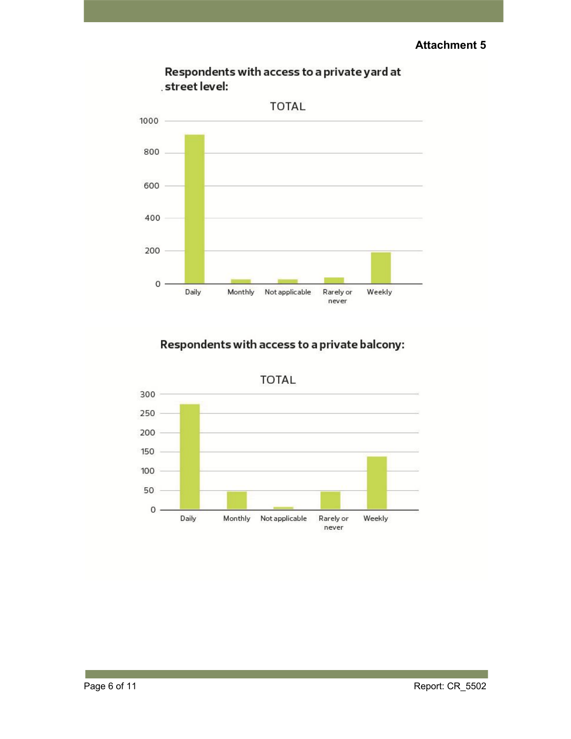

Respondents with access to a private yard at street level:

## Respondents with access to a private balcony:

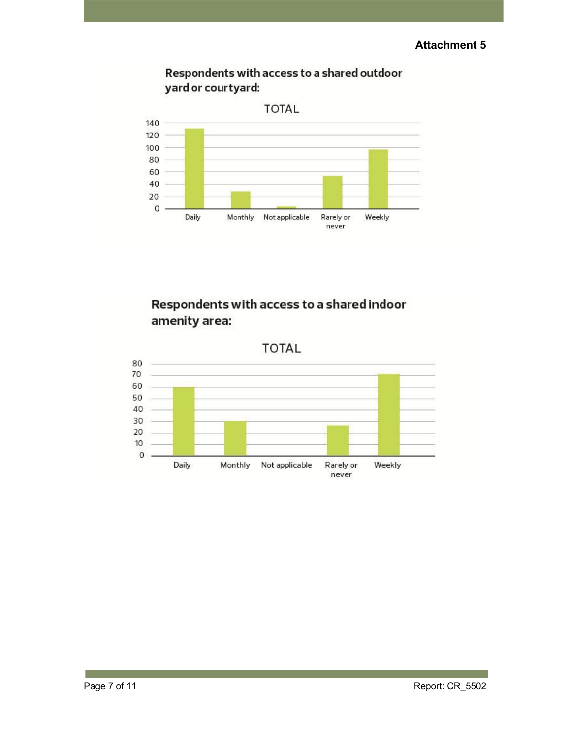



# Respondents with access to a shared indoor amenity area:

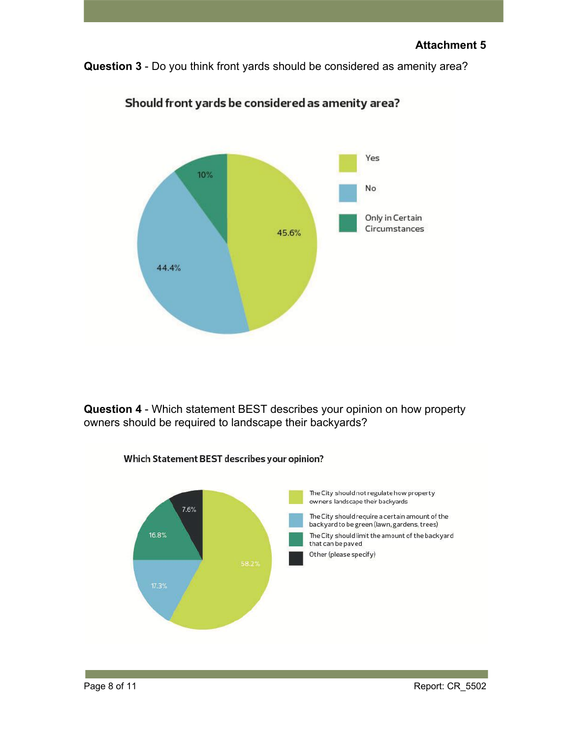**Question 3** - Do you think front yards should be considered as amenity area?



Should front yards be considered as amenity area?

**Question 4** - Which statement BEST describes your opinion on how property owners should be required to landscape their backyards?

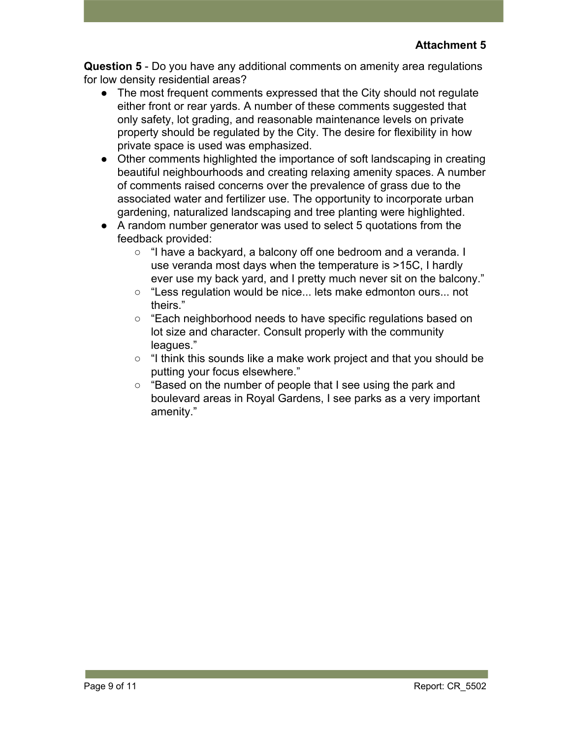**Question 5** - Do you have any additional comments on amenity area regulations for low density residential areas?

- The most frequent comments expressed that the City should not regulate either front or rear yards. A number of these comments suggested that only safety, lot grading, and reasonable maintenance levels on private property should be regulated by the City. The desire for flexibility in how private space is used was emphasized.
- Other comments highlighted the importance of soft landscaping in creating beautiful neighbourhoods and creating relaxing amenity spaces. A number of comments raised concerns over the prevalence of grass due to the associated water and fertilizer use. The opportunity to incorporate urban gardening, naturalized landscaping and tree planting were highlighted.
- A random number generator was used to select 5 quotations from the feedback provided:
	- "I have a backyard, a balcony off one bedroom and a veranda. I use veranda most days when the temperature is >15C, I hardly ever use my back yard, and I pretty much never sit on the balcony."
	- "Less regulation would be nice... lets make edmonton ours... not theirs."
	- "Each neighborhood needs to have specific regulations based on lot size and character. Consult properly with the community leagues."
	- $\circ$  "I think this sounds like a make work project and that you should be putting your focus elsewhere."
	- "Based on the number of people that I see using the park and boulevard areas in Royal Gardens, I see parks as a very important amenity."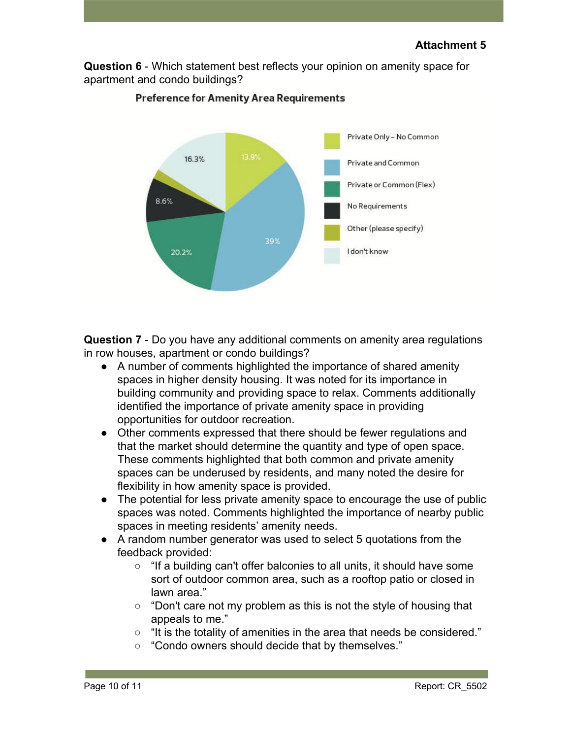**Question 6** - Which statement best reflects your opinion on amenity space for apartment and condo buildings?



#### **Preference for Amenity Area Requirements**

**Question 7** - Do you have any additional comments on amenity area regulations in row houses, apartment or condo buildings?

- A number of comments highlighted the importance of shared amenity spaces in higher density housing. It was noted for its importance in building community and providing space to relax. Comments additionally identified the importance of private amenity space in providing opportunities for outdoor recreation.
- Other comments expressed that there should be fewer regulations and that the market should determine the quantity and type of open space. These comments highlighted that both common and private amenity spaces can be underused by residents, and many noted the desire for flexibility in how amenity space is provided.
- The potential for less private amenity space to encourage the use of public spaces was noted. Comments highlighted the importance of nearby public spaces in meeting residents' amenity needs.
- A random number generator was used to select 5 quotations from the feedback provided:
	- "If a building can't offer balconies to all units, it should have some sort of outdoor common area, such as a rooftop patio or closed in lawn area."
	- $\circ$  "Don't care not my problem as this is not the style of housing that appeals to me."
	- "It is the totality of amenities in the area that needs be considered."
	- "Condo owners should decide that by themselves."